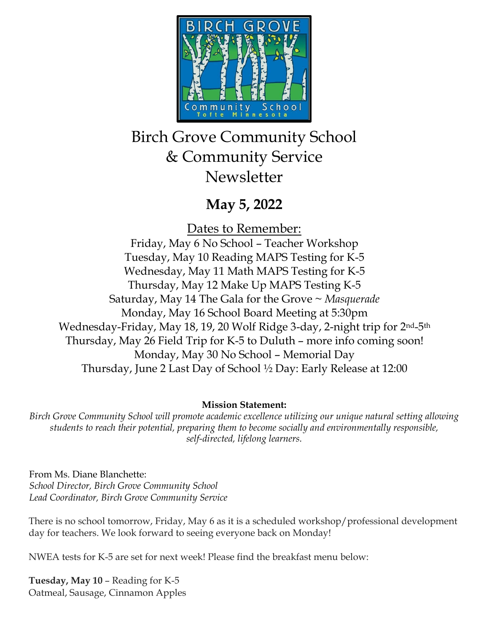

# Birch Grove Community School & Community Service **Newsletter**

## **May 5, 2022**

Dates to Remember: Friday, May 6 No School – Teacher Workshop Tuesday, May 10 Reading MAPS Testing for K-5 Wednesday, May 11 Math MAPS Testing for K-5 Thursday, May 12 Make Up MAPS Testing K-5 Saturday, May 14 The Gala for the Grove ~ *Masquerade* Monday, May 16 School Board Meeting at 5:30pm Wednesday-Friday, May 18, 19, 20 Wolf Ridge 3-day, 2-night trip for 2nd-5th Thursday, May 26 Field Trip for K-5 to Duluth – more info coming soon! Monday, May 30 No School – Memorial Day Thursday, June 2 Last Day of School ½ Day: Early Release at 12:00

## **Mission Statement:**

*Birch Grove Community School will promote academic excellence utilizing our unique natural setting allowing students to reach their potential, preparing them to become socially and environmentally responsible, self-directed, lifelong learners.*

From Ms. Diane Blanchette: *School Director, Birch Grove Community School Lead Coordinator, Birch Grove Community Service*

There is no school tomorrow, Friday, May 6 as it is a scheduled workshop/professional development day for teachers. We look forward to seeing everyone back on Monday!

NWEA tests for K-5 are set for next week! Please find the breakfast menu below:

**Tuesday, May 10** – Reading for K-5 Oatmeal, Sausage, Cinnamon Apples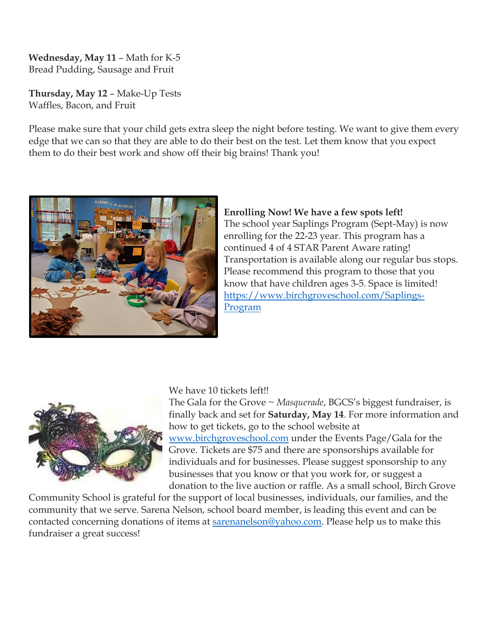**Wednesday, May 11** – Math for K-5 Bread Pudding, Sausage and Fruit

**Thursday, May 12** – Make-Up Tests Waffles, Bacon, and Fruit

Please make sure that your child gets extra sleep the night before testing. We want to give them every edge that we can so that they are able to do their best on the test. Let them know that you expect them to do their best work and show off their big brains! Thank you!



### **Enrolling Now! We have a few spots left!**

The school year Saplings Program (Sept-May) is now enrolling for the 22-23 year. This program has a continued 4 of 4 STAR Parent Aware rating! Transportation is available along our regular bus stops. Please recommend this program to those that you know that have children ages 3-5. Space is limited! [https://www.birchgroveschool.com/Saplings-](https://www.birchgroveschool.com/Saplings-Program)[Program](https://www.birchgroveschool.com/Saplings-Program)



#### We have 10 tickets left!!

The Gala for the Grove ~ *Masquerade*, BGCS's biggest fundraiser, is finally back and set for **Saturday, May 14**. For more information and how to get tickets, go to the school website at [www.birchgroveschool.com](http://www.birchgroveschool.com/) under the Events Page/Gala for the Grove. Tickets are \$75 and there are sponsorships available for individuals and for businesses. Please suggest sponsorship to any businesses that you know or that you work for, or suggest a donation to the live auction or raffle. As a small school, Birch Grove

Community School is grateful for the support of local businesses, individuals, our families, and the community that we serve. Sarena Nelson, school board member, is leading this event and can be contacted concerning donations of items at **sarenanelson@yahoo.com**. Please help us to make this fundraiser a great success!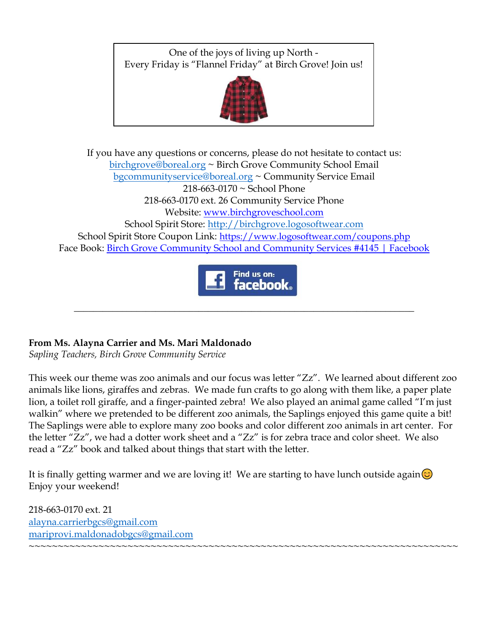One of the joys of living up North - Every Friday is "Flannel Friday" at Birch Grove! Join us!



If you have any questions or concerns, please do not hesitate to contact us: [birchgrove@boreal.org](mailto:birchgrove@boreal.org) ~ Birch Grove Community School Email [bgcommunityservice@boreal.org](mailto:bgcommunityservice@boreal.org) ~ Community Service Email 218-663-0170 ~ School Phone 218-663-0170 ext. 26 Community Service Phone Website: [www.birchgroveschool.com](http://www.birchgroveschool.com/) School Spirit Store: [http://birchgrove.logosoftwear.com](http://birchgrove.logosoftwear.com/) School Spirit Store Coupon Link: [https://www.logosoftwear.com/coupons.php](https://l.facebook.com/l.php?u=https%3A%2F%2Fwww.logosoftwear.com%2Fcoupons.php%3Ffbclid%3DIwAR2Xqd17qslymSELe8_VeVgOevR-QsZi3Qz3QuYTsWuNO2GLWjqyiQ62ICs&h=AT2z_Mc6YstEexFQ0i5rW-HO4fVUjQWMG_mHzx48fuw3yADOJuSHwXhN9MQfmKFDZxVhPbfBgLy6FDYrV0SZiN-UApxljZJM83a99ykkj6B8CMjcjkNw3W_Q7esHr8EHSDY6&__tn__=-UK-R&c%5b0%5d=AT3hJTZO-D9y88WW55bnY7TKagKxE33cxX646tzqglmwc95PJrJ3IYR9biVvFaLzk80QBN6o7R5n96uR3pNcGUR2nS6jY3yHy4SJEISdB3KoMVhV6OckeZsezEKQYZjMowKojD5TLi5DzP_AyBUXCERIZcNHwoDXS9DzEjlTMuD3pg) Face Book: [Birch Grove Community School and Community Services #4145 | Facebook](https://www.facebook.com/birchgrovecommunityschool/)



\_\_\_\_\_\_\_\_\_\_\_\_\_\_\_\_\_\_\_\_\_\_\_\_\_\_\_\_\_\_\_\_\_\_\_\_\_\_\_\_\_\_\_\_\_\_\_\_\_\_\_\_\_\_\_\_\_\_\_\_\_\_\_\_\_\_\_\_\_\_\_

## **From Ms. Alayna Carrier and Ms. Mari Maldonado**

*Sapling Teachers, Birch Grove Community Service* 

This week our theme was zoo animals and our focus was letter "Zz". We learned about different zoo animals like lions, giraffes and zebras. We made fun crafts to go along with them like, a paper plate lion, a toilet roll giraffe, and a finger-painted zebra! We also played an animal game called "I'm just walkin" where we pretended to be different zoo animals, the Saplings enjoyed this game quite a bit! The Saplings were able to explore many zoo books and color different zoo animals in art center. For the letter "Zz", we had a dotter work sheet and a "Zz" is for zebra trace and color sheet. We also read a "Zz" book and talked about things that start with the letter.

It is finally getting warmer and we are loving it! We are starting to have lunch outside again $\circledcirc$ Enjoy your weekend!

218-663-0170 ext. 21 [alayna.carrierbgcs@gmail.com](mailto:alayna.carrierbgcs@gmail.com) [mariprovi.maldonadobgcs@gmail.com](mailto:mariprovi.maldonadobgcs@gmail.com) ~~~~~~~~~~~~~~~~~~~~~~~~~~~~~~~~~~~~~~~~~~~~~~~~~~~~~~~~~~~~~~~~~~~~~~~~~~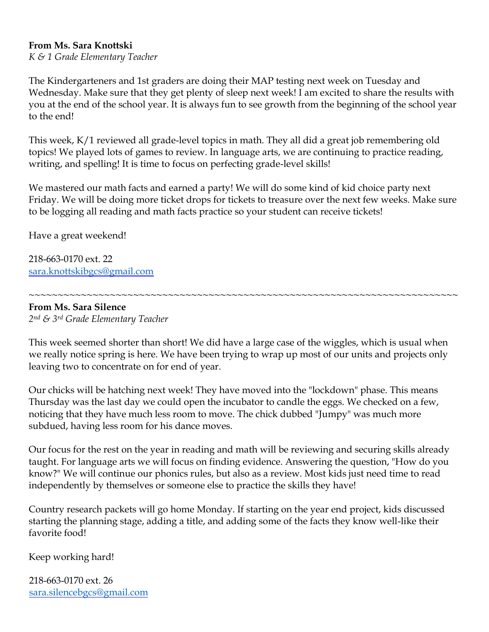#### **From Ms. Sara Knottski**

*K & 1 Grade Elementary Teacher*

The Kindergarteners and 1st graders are doing their MAP testing next week on Tuesday and Wednesday. Make sure that they get plenty of sleep next week! I am excited to share the results with you at the end of the school year. It is always fun to see growth from the beginning of the school year to the end!

This week, K/1 reviewed all grade-level topics in math. They all did a great job remembering old topics! We played lots of games to review. In language arts, we are continuing to practice reading, writing, and spelling! It is time to focus on perfecting grade-level skills!

We mastered our math facts and earned a party! We will do some kind of kid choice party next Friday. We will be doing more ticket drops for tickets to treasure over the next few weeks. Make sure to be logging all reading and math facts practice so your student can receive tickets!

Have a great weekend!

218-663-0170 ext. 22 [sara.knottskibgcs@gmail.com](mailto:sara.knottskibgcs@gmail.com)

**From Ms. Sara Silence** 

*2nd & 3rd Grade Elementary Teacher*

This week seemed shorter than short! We did have a large case of the wiggles, which is usual when we really notice spring is here. We have been trying to wrap up most of our units and projects only leaving two to concentrate on for end of year.

~~~~~~~~~~~~~~~~~~~~~~~~~~~~~~~~~~~~~~~~~~~~~~~~~~~~~~~~~~~~~~~~~~~~~~~~~~

Our chicks will be hatching next week! They have moved into the "lockdown" phase. This means Thursday was the last day we could open the incubator to candle the eggs. We checked on a few, noticing that they have much less room to move. The chick dubbed "Jumpy" was much more subdued, having less room for his dance moves.

Our focus for the rest on the year in reading and math will be reviewing and securing skills already taught. For language arts we will focus on finding evidence. Answering the question, "How do you know?" We will continue our phonics rules, but also as a review. Most kids just need time to read independently by themselves or someone else to practice the skills they have!

Country research packets will go home Monday. If starting on the year end project, kids discussed starting the planning stage, adding a title, and adding some of the facts they know well-like their favorite food!

Keep working hard!

218-663-0170 ext. 26 [sara.silencebgcs@gmail.com](mailto:sara.silencebgcs@gmail.com)